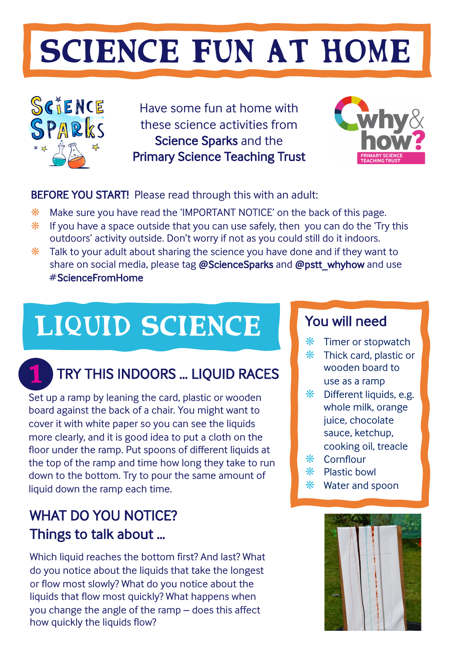# SCIENCE FUN AT HOME



Have some fun at home with these science activities from Science Sparks and the Primary Science Teaching Trust



## BEFORE YOU START! Please read through this with an adult:

- ❋ Make sure you have read the 'IMPORTANT NOTICE' on the back of this page.
- $*$  If you have a space outside that you can use safely, then you can do the 'Try this outdoors' activity outside. Don't worry if not as you could still do it indoors.
- $*$  Talk to your adult about sharing the science you have done and if they want to share on social media, please tag **@**ScienceSparks and **@**pstt\_whyhow and use # ScienceFromHome

# LIQUID SCIENCE You will need

# 1

# TRY THIS INDOORS … LIQUID RACES

Set up a ramp by leaning the card, plastic or wooden board against the back of a chair. You might want to cover it with white paper so you can see the liquids more clearly, and it is good idea to put a cloth on the floor under the ramp. Put spoons of different liquids at the top of the ramp and time how long they take to run down to the bottom. Try to pour the same amount of liquid down the ramp each time.

# WHAT DO YOU NOTICE? Things to talk about …

Which liquid reaches the bottom first? And last? What do you notice about the liquids that take the longest or flow most slowly? What do you notice about the liquids that flow most quickly? What happens when you change the angle of the ramp – does this affect how quickly the liquids flow?

- ❋ Timer or stopwatch
- ❋ Thick card, plastic or wooden board to use as a ramp
- $*$  Different liquids, e.g. whole milk, orange juice, chocolate sauce, ketchup, cooking oil, treacle
- ❋ Cornflour
- ❋ Plastic bowl
- ❋ Water and spoon